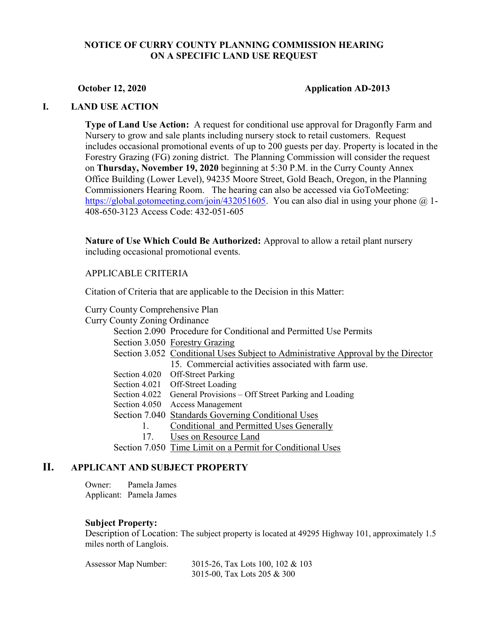# NOTICE OF CURRY COUNTY PLANNING COMMISSION HEARING ON A SPECIFIC LAND USE REQUEST

#### October 12, 2020 Application AD-2013

## I. LAND USE ACTION

Type of Land Use Action: A request for conditional use approval for Dragonfly Farm and Nursery to grow and sale plants including nursery stock to retail customers. Request includes occasional promotional events of up to 200 guests per day. Property is located in the Forestry Grazing (FG) zoning district. The Planning Commission will consider the request on Thursday, November 19, 2020 beginning at 5:30 P.M. in the Curry County Annex Office Building (Lower Level), 94235 Moore Street, Gold Beach, Oregon, in the Planning Commissioners Hearing Room. The hearing can also be accessed via GoToMeeting: https://global.gotomeeting.com/join/432051605. You can also dial in using your phone  $\omega$  1-408-650-3123 Access Code: 432-051-605

Nature of Use Which Could Be Authorized: Approval to allow a retail plant nursery including occasional promotional events.

## APPLICABLE CRITERIA

Citation of Criteria that are applicable to the Decision in this Matter:

Curry County Comprehensive Plan

| <b>Curry County Zoning Ordinance</b> |                                                                                   |
|--------------------------------------|-----------------------------------------------------------------------------------|
|                                      | Section 2.090 Procedure for Conditional and Permitted Use Permits                 |
|                                      | Section 3.050 Forestry Grazing                                                    |
|                                      | Section 3.052 Conditional Uses Subject to Administrative Approval by the Director |
|                                      | 15. Commercial activities associated with farm use.                               |
|                                      | Section 4.020 Off-Street Parking                                                  |
|                                      | Section 4.021 Off-Street Loading                                                  |
|                                      | Section 4.022 General Provisions – Off Street Parking and Loading                 |
|                                      | Section 4.050 Access Management                                                   |
|                                      | Section 7.040 Standards Governing Conditional Uses                                |
|                                      | Conditional and Permitted Uses Generally                                          |
| 17.                                  | Uses on Resource Land                                                             |
|                                      | Section 7.050 Time Limit on a Permit for Conditional Uses                         |

# II. APPLICANT AND SUBJECT PROPERTY

Owner: Pamela James Applicant: Pamela James

#### Subject Property:

Description of Location: The subject property is located at 49295 Highway 101, approximately 1.5 miles north of Langlois.

| Assessor Map Number: | 3015-26, Tax Lots 100, 102 & 103 |
|----------------------|----------------------------------|
|                      | 3015-00, Tax Lots 205 & 300      |